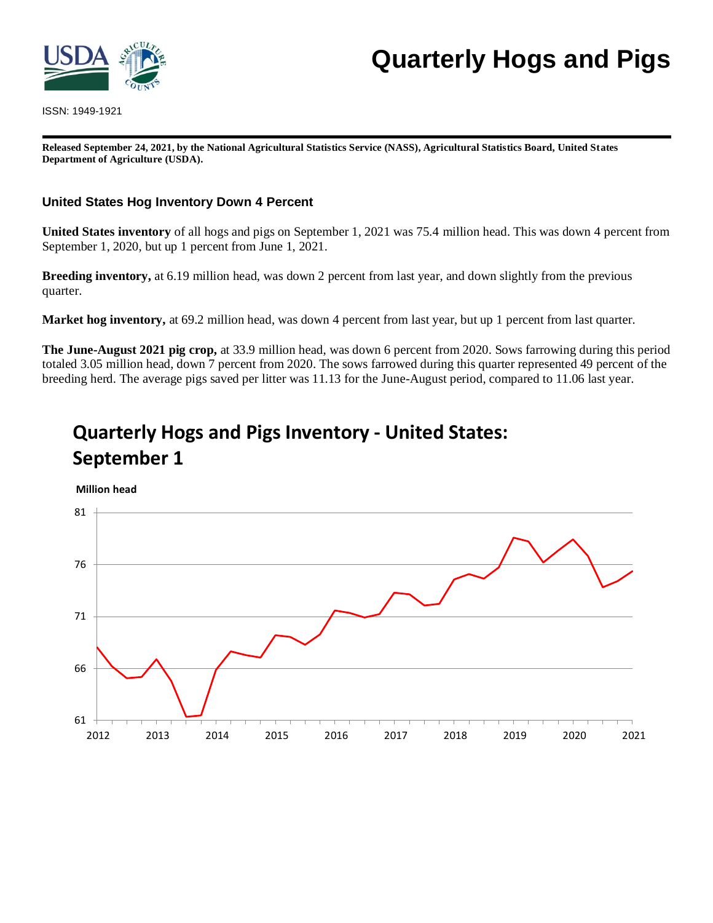

ISSN: 1949-1921

# **Quarterly Hogs and Pigs**

**Released September 24, 2021, by the National Agricultural Statistics Service (NASS), Agricultural Statistics Board, United States Department of Agriculture (USDA).**

#### **United States Hog Inventory Down 4 Percent**

**United States inventory** of all hogs and pigs on September 1, 2021 was 75.4 million head. This was down 4 percent from September 1, 2020, but up 1 percent from June 1, 2021.

**Breeding inventory,** at 6.19 million head, was down 2 percent from last year, and down slightly from the previous quarter.

**Market hog inventory,** at 69.2 million head, was down 4 percent from last year, but up 1 percent from last quarter.

**The June-August 2021 pig crop,** at 33.9 million head, was down 6 percent from 2020. Sows farrowing during this period totaled 3.05 million head, down 7 percent from 2020. The sows farrowed during this quarter represented 49 percent of the breeding herd. The average pigs saved per litter was 11.13 for the June-August period, compared to 11.06 last year.

# **Quarterly Hogs and Pigs Inventory - United States: September 1**



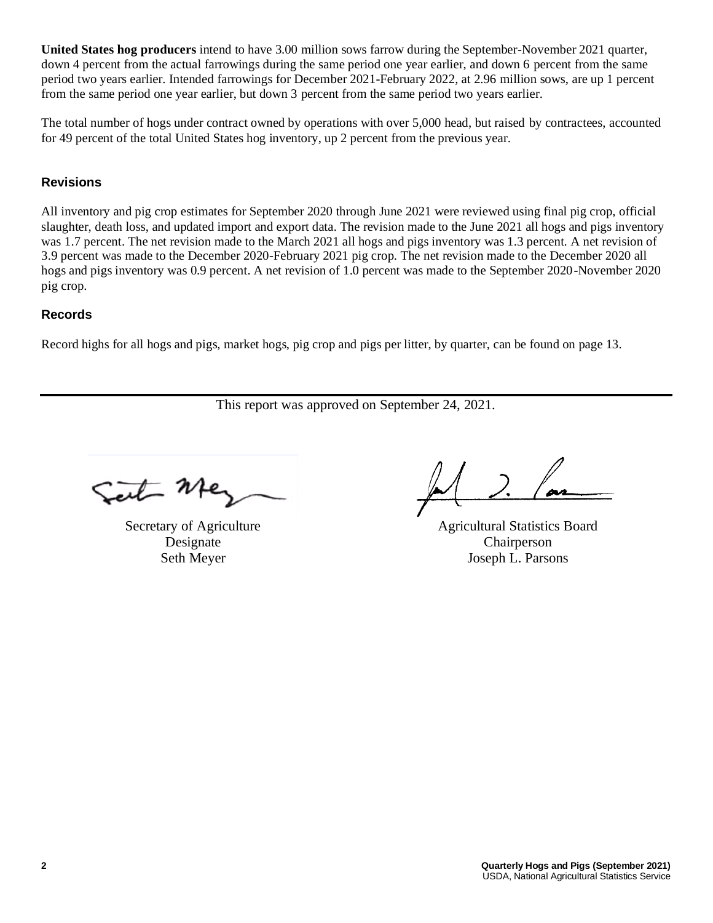**United States hog producers** intend to have 3.00 million sows farrow during the September-November 2021 quarter, down 4 percent from the actual farrowings during the same period one year earlier, and down 6 percent from the same period two years earlier. Intended farrowings for December 2021-February 2022, at 2.96 million sows, are up 1 percent from the same period one year earlier, but down 3 percent from the same period two years earlier.

The total number of hogs under contract owned by operations with over 5,000 head, but raised by contractees, accounted for 49 percent of the total United States hog inventory, up 2 percent from the previous year.

### **Revisions**

All inventory and pig crop estimates for September 2020 through June 2021 were reviewed using final pig crop, official slaughter, death loss, and updated import and export data. The revision made to the June 2021 all hogs and pigs inventory was 1.7 percent. The net revision made to the March 2021 all hogs and pigs inventory was 1.3 percent. A net revision of 3.9 percent was made to the December 2020-February 2021 pig crop. The net revision made to the December 2020 all hogs and pigs inventory was 0.9 percent. A net revision of 1.0 percent was made to the September 2020-November 2020 pig crop.

#### **Records**

Record highs for all hogs and pigs, market hogs, pig crop and pigs per litter, by quarter, can be found on page 13.

This report was approved on September 24, 2021.

 $-1$ 

Secretary of Agriculture Designate Seth Meyer

Agricultural Statistics Board Chairperson Joseph L. Parsons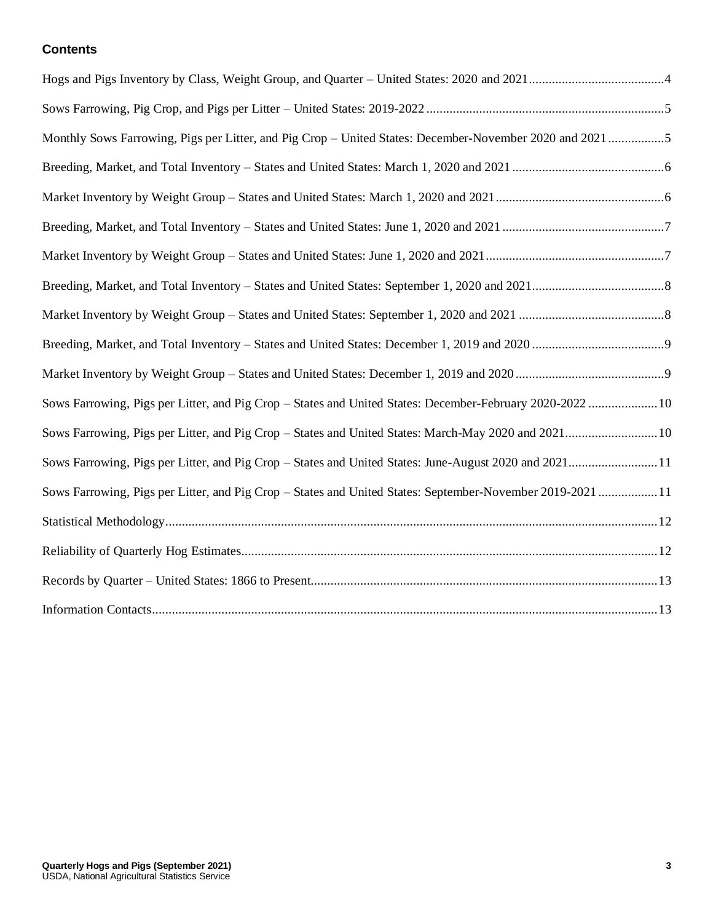#### **Contents**

| Monthly Sows Farrowing, Pigs per Litter, and Pig Crop - United States: December-November 2020 and 2021 5  |  |
|-----------------------------------------------------------------------------------------------------------|--|
|                                                                                                           |  |
|                                                                                                           |  |
|                                                                                                           |  |
|                                                                                                           |  |
|                                                                                                           |  |
|                                                                                                           |  |
|                                                                                                           |  |
|                                                                                                           |  |
| Sows Farrowing, Pigs per Litter, and Pig Crop - States and United States: December-February 2020-2022  10 |  |
| Sows Farrowing, Pigs per Litter, and Pig Crop - States and United States: March-May 2020 and 202110       |  |
| Sows Farrowing, Pigs per Litter, and Pig Crop - States and United States: June-August 2020 and 202111     |  |
| Sows Farrowing, Pigs per Litter, and Pig Crop - States and United States: September-November 2019-2021 11 |  |
|                                                                                                           |  |
|                                                                                                           |  |
|                                                                                                           |  |
|                                                                                                           |  |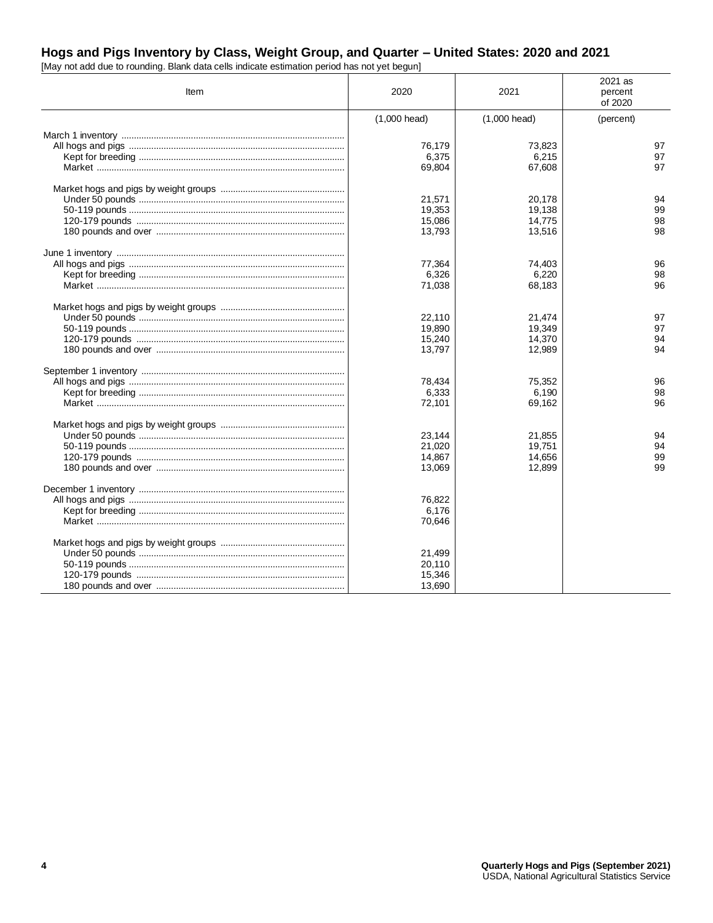# Hogs and Pigs Inventory by Class, Weight Group, and Quarter - United States: 2020 and 2021 [May not add due to rounding. Blank data cells indicate estimation period has not yet begun]

| Item | 2020                                 | 2021                                 | 2021 as<br>percent<br>of 2020 |
|------|--------------------------------------|--------------------------------------|-------------------------------|
|      | $(1,000 \text{ head})$               | $(1,000 \text{ head})$               | (percent)                     |
|      | 76,179<br>6,375<br>69,804            | 73,823<br>6,215<br>67,608            | 97<br>97<br>97                |
|      | 21,571<br>19,353<br>15,086<br>13,793 | 20,178<br>19,138<br>14,775<br>13,516 | 94<br>99<br>98<br>98          |
|      | 77,364<br>6,326<br>71,038            | 74,403<br>6,220<br>68,183            | 96<br>98<br>96                |
|      | 22.110<br>19,890<br>15,240<br>13,797 | 21,474<br>19,349<br>14,370<br>12,989 | 97<br>97<br>94<br>94          |
|      | 78,434<br>6,333<br>72,101            | 75,352<br>6,190<br>69,162            | 96<br>98<br>96                |
|      | 23,144<br>21,020<br>14,867<br>13,069 | 21,855<br>19,751<br>14,656<br>12,899 | 94<br>94<br>99<br>99          |
|      | 76,822<br>6,176<br>70,646            |                                      |                               |
|      | 21,499<br>20,110<br>15,346<br>13,690 |                                      |                               |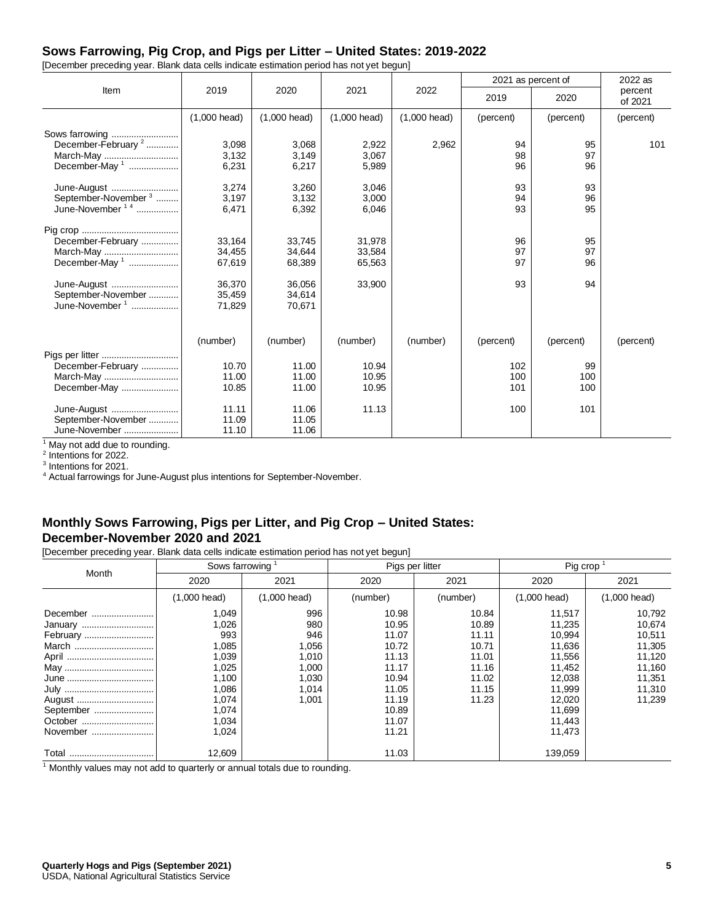#### **Sows Farrowing, Pig Crop, and Pigs per Litter – United States: 2019-2022**

[December preceding year. Blank data cells indicate estimation period has not yet begun]

|                                 |                        |                        |                        |                        |           | 2021 as percent of | 2022 as            |
|---------------------------------|------------------------|------------------------|------------------------|------------------------|-----------|--------------------|--------------------|
| Item                            | 2019                   | 2020                   | 2021                   | 2022                   | 2019      | 2020               | percent<br>of 2021 |
|                                 | $(1,000 \text{ head})$ | $(1,000 \text{ head})$ | $(1,000 \text{ head})$ | $(1,000 \text{ head})$ | (percent) | (percent)          | (percent)          |
| Sows farrowing                  |                        |                        |                        |                        |           |                    |                    |
| December-February <sup>2</sup>  | 3,098                  | 3,068                  | 2,922                  | 2,962                  | 94        | 95                 | 101                |
| March-May                       | 3,132                  | 3,149                  | 3,067                  |                        | 98        | 97                 |                    |
| December-May <sup>1</sup>       | 6,231                  | 6,217                  | 5,989                  |                        | 96        | 96                 |                    |
| June-August                     | 3,274                  | 3,260                  | 3,046                  |                        | 93        | 93                 |                    |
| September-November <sup>3</sup> | 3,197                  | 3,132                  | 3,000                  |                        | 94        | 96                 |                    |
| June-November <sup>14</sup>     | 6,471                  | 6,392                  | 6,046                  |                        | 93        | 95                 |                    |
|                                 |                        |                        |                        |                        |           |                    |                    |
| December-February               | 33.164                 | 33,745                 | 31,978                 |                        | 96        | 95                 |                    |
| March-May                       | 34,455                 | 34,644                 | 33,584                 |                        | 97        | 97                 |                    |
| December-May <sup>1</sup>       | 67,619                 | 68,389                 | 65,563                 |                        | 97        | 96                 |                    |
| June-August                     | 36,370                 | 36.056                 | 33,900                 |                        | 93        | 94                 |                    |
| September-November              | 35,459                 | 34,614                 |                        |                        |           |                    |                    |
| June-November <sup>1</sup>      | 71,829                 | 70,671                 |                        |                        |           |                    |                    |
|                                 |                        |                        |                        |                        |           |                    |                    |
|                                 | (number)               | (number)               | (number)               | (number)               | (percent) | (percent)          | (percent)          |
| Pigs per litter                 |                        |                        |                        |                        |           |                    |                    |
| December-February               | 10.70                  | 11.00                  | 10.94                  |                        | 102       | 99                 |                    |
| March-May                       | 11.00                  | 11.00                  | 10.95                  |                        | 100       | 100                |                    |
| December-May                    | 10.85                  | 11.00                  | 10.95                  |                        | 101       | 100                |                    |
| June-August                     | 11.11                  | 11.06                  | 11.13                  |                        | 100       | 101                |                    |
| September-November              | 11.09                  | 11.05                  |                        |                        |           |                    |                    |
| June-November                   | 11.10                  | 11.06                  |                        |                        |           |                    |                    |

 $^1$  May not add due to rounding.<br><sup>2</sup> Intentions for 2022.

3 Intentions for 2021.

<sup>4</sup> Actual farrowings for June-August plus intentions for September-November.

#### **Monthly Sows Farrowing, Pigs per Litter, and Pig Crop – United States: December-November 2020 and 2021**

[December preceding year. Blank data cells indicate estimation period has not yet begun]

| Month     | Sows farrowing <sup>1</sup> |                        | Pigs per litter |          | Pig crop               |                        |  |
|-----------|-----------------------------|------------------------|-----------------|----------|------------------------|------------------------|--|
|           | 2020                        | 2021                   | 2020            | 2021     | 2020                   | 2021                   |  |
|           | $(1,000 \text{ head})$      | $(1,000 \text{ head})$ | (number)        | (number) | $(1,000 \text{ head})$ | $(1,000 \text{ head})$ |  |
| December  | 1,049                       | 996                    | 10.98           | 10.84    | 11,517                 | 10,792                 |  |
| January   | 1,026                       | 980                    | 10.95           | 10.89    | 11,235                 | 10,674                 |  |
| February  | 993                         | 946                    | 11.07           | 11.11    | 10,994                 | 10,511                 |  |
| March     | 1,085                       | 1,056                  | 10.72           | 10.71    | 11,636                 | 11,305                 |  |
|           | 1,039                       | 1,010                  | 11.13           | 11.01    | 11,556                 | 11,120                 |  |
|           | 1,025                       | 1,000                  | 11.17           | 11.16    | 11,452                 | 11,160                 |  |
|           | 1,100                       | 1,030                  | 10.94           | 11.02    | 12,038                 | 11,351                 |  |
|           | 1,086                       | 1,014                  | 11.05           | 11.15    | 11,999                 | 11,310                 |  |
| August    | 1,074                       | 1,001                  | 11.19           | 11.23    | 12,020                 | 11,239                 |  |
| September | 1,074                       |                        | 10.89           |          | 11,699                 |                        |  |
| October   | 1,034                       |                        | 11.07           |          | 11,443                 |                        |  |
| November  | 1,024                       |                        | 11.21           |          | 11,473                 |                        |  |
|           | 12,609                      |                        | 11.03           |          | 139,059                |                        |  |

 $1$  Monthly values may not add to quarterly or annual totals due to rounding.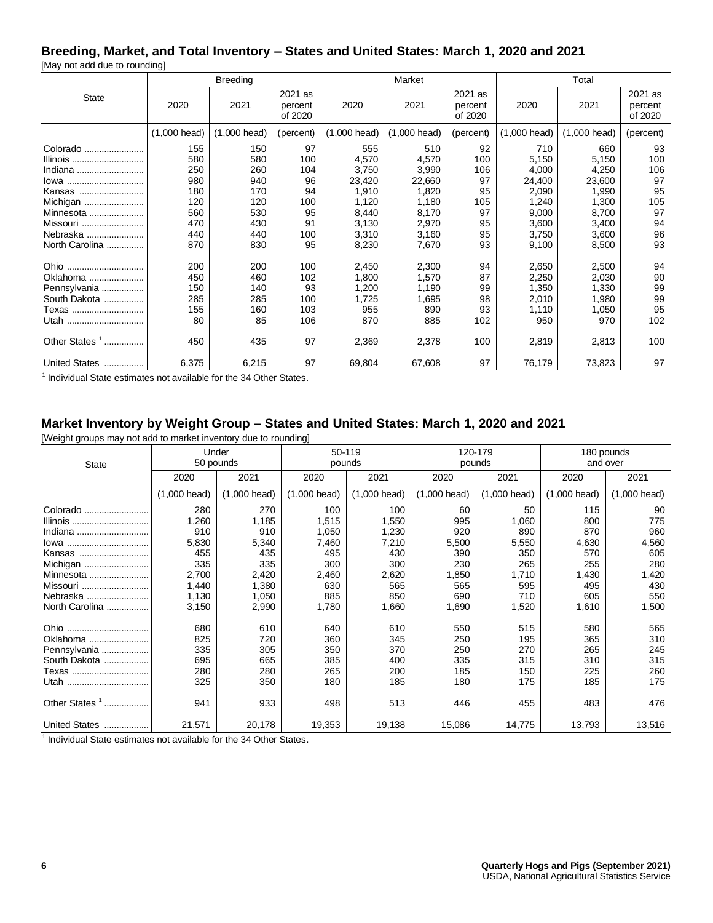# **Breeding, Market, and Total Inventory – States and United States: March 1, 2020 and 2021**

[May not add due to rounding]

|                           |                        | <b>Breeding</b>        |                               |                | Market                 |                               |              | Total                  |                               |  |  |
|---------------------------|------------------------|------------------------|-------------------------------|----------------|------------------------|-------------------------------|--------------|------------------------|-------------------------------|--|--|
| <b>State</b>              | 2020                   | 2021                   | 2021 as<br>percent<br>of 2020 | 2020           | 2021                   | 2021 as<br>percent<br>of 2020 | 2020         | 2021                   | 2021 as<br>percent<br>of 2020 |  |  |
|                           | $(1,000 \text{ head})$ | $(1,000 \text{ head})$ | (percent)                     | $(1,000$ head) | $(1,000 \text{ head})$ | (percent)                     | (1,000 head) | $(1,000 \text{ head})$ | (percent)                     |  |  |
| Colorado                  | 155                    | 150                    | 97                            | 555            | 510                    | 92                            | 710          | 660                    | 93                            |  |  |
| Illinois                  | 580                    | 580                    | 100                           | 4,570          | 4,570                  | 100                           | 5,150        | 5,150                  | 100                           |  |  |
| Indiana                   | 250                    | 260                    | 104                           | 3,750          | 3,990                  | 106                           | 4,000        | 4,250                  | 106                           |  |  |
| lowa                      | 980                    | 940                    | 96                            | 23,420         | 22,660                 | 97                            | 24,400       | 23,600                 | 97                            |  |  |
| Kansas                    | 180                    | 170                    | 94                            | 1,910          | 1,820                  | 95                            | 2,090        | 1,990                  | 95                            |  |  |
| Michigan                  | 120                    | 120                    | 100                           | 1,120          | 1,180                  | 105                           | 1,240        | 1,300                  | 105                           |  |  |
| Minnesota                 | 560                    | 530                    | 95                            | 8,440          | 8,170                  | 97                            | 9,000        | 8,700                  | 97                            |  |  |
| Missouri                  | 470                    | 430                    | 91                            | 3,130          | 2,970                  | 95                            | 3,600        | 3,400                  | 94                            |  |  |
| Nebraska                  | 440                    | 440                    | 100                           | 3,310          | 3,160                  | 95                            | 3,750        | 3,600                  | 96                            |  |  |
| North Carolina            | 870                    | 830                    | 95                            | 8,230          | 7,670                  | 93                            | 9,100        | 8,500                  | 93                            |  |  |
| Ohio                      | 200                    | 200                    | 100                           | 2,450          | 2,300                  | 94                            | 2,650        | 2,500                  | 94                            |  |  |
| Oklahoma                  | 450                    | 460                    | 102                           | 1,800          | 1,570                  | 87                            | 2,250        | 2,030                  | 90                            |  |  |
| Pennsylvania              | 150                    | 140                    | 93                            | 1,200          | 1,190                  | 99                            | 1,350        | 1,330                  | 99                            |  |  |
| South Dakota              | 285                    | 285                    | 100                           | 1,725          | 1,695                  | 98                            | 2,010        | 1,980                  | 99                            |  |  |
| Texas                     | 155                    | 160                    | 103                           | 955            | 890                    | 93                            | 1,110        | 1,050                  | 95                            |  |  |
| Utah                      | 80                     | 85                     | 106                           | 870            | 885                    | 102                           | 950          | 970                    | 102                           |  |  |
| Other States <sup>1</sup> | 450                    | 435                    | 97                            | 2,369          | 2,378                  | 100                           | 2,819        | 2,813                  | 100                           |  |  |
| United States             | 6,375                  | 6,215                  | 97                            | 69,804         | 67,608                 | 97                            | 76,179       | 73,823                 | 97                            |  |  |

<sup>1</sup> Individual State estimates not available for the 34 Other States.

# **Market Inventory by Weight Group – States and United States: March 1, 2020 and 2021**

[Weight groups may not add to market inventory due to rounding]

| <b>State</b>                   |                        | Under<br>50 pounds     |                        | 50-119<br>pounds       |                        | 120-179<br>pounds | 180 pounds<br>and over |                        |  |
|--------------------------------|------------------------|------------------------|------------------------|------------------------|------------------------|-------------------|------------------------|------------------------|--|
|                                | 2020                   | 2021                   | 2020                   | 2021                   | 2020                   | 2021              | 2020                   | 2021                   |  |
|                                | $(1,000 \text{ head})$ | $(1,000 \text{ head})$ | $(1,000 \text{ head})$ | $(1,000 \text{ head})$ | $(1,000 \text{ head})$ | $(1,000$ head)    | $(1,000 \text{ head})$ | $(1,000 \text{ head})$ |  |
| Colorado                       | 280                    | 270                    | 100                    | 100                    | 60                     | 50                | 115                    | 90                     |  |
| Illinois                       | 1,260                  | 1,185                  | 1,515                  | 1,550                  | 995                    | 1,060             | 800                    | 775                    |  |
| Indiana                        | 910                    | 910                    | 1,050                  | 1,230                  | 920                    | 890               | 870                    | 960                    |  |
| lowa                           | 5,830                  | 5,340                  | 7,460                  | 7,210                  | 5,500                  | 5,550             | 4,630                  | 4,560                  |  |
| Kansas                         | 455                    | 435                    | 495                    | 430                    | 390                    | 350               | 570                    | 605                    |  |
| Michigan                       | 335                    | 335                    | 300                    | 300                    | 230                    | 265               | 255                    | 280                    |  |
| Minnesota                      | 2,700                  | 2,420                  | 2,460                  | 2,620                  | 1,850                  | 1,710             | 1,430                  | 1,420                  |  |
| Missouri                       | 1,440                  | 1,380                  | 630                    | 565                    | 565                    | 595               | 495                    | 430                    |  |
| Nebraska                       | 1,130                  | 1,050                  | 885                    | 850                    | 690                    | 710               | 605                    | 550                    |  |
| North Carolina                 | 3,150                  | 2,990                  | 1,780                  | 1,660                  | 1,690                  | 1,520             | 1,610                  | 1,500                  |  |
| Ohio<br>                       | 680                    | 610                    | 640                    | 610                    | 550                    | 515               | 580                    | 565                    |  |
| Oklahoma                       | 825                    | 720                    | 360                    | 345                    | 250                    | 195               | 365                    | 310                    |  |
| Pennsylvania                   | 335                    | 305                    | 350                    | 370                    | 250                    | 270               | 265                    | 245                    |  |
| South Dakota                   | 695                    | 665                    | 385                    | 400                    | 335                    | 315               | 310                    | 315                    |  |
| Texas                          | 280                    | 280                    | 265                    | 200                    | 185                    | 150               | 225                    | 260                    |  |
| Utah                           | 325                    | 350                    | 180                    | 185                    | 180                    | 175               | 185                    | 175                    |  |
| Other States <sup>1</sup><br>. | 941                    | 933                    | 498                    | 513                    | 446                    | 455               | 483                    | 476                    |  |
| United States                  | 21,571                 | 20,178                 | 19,353                 | 19,138                 | 15,086                 | 14,775            | 13,793                 | 13,516                 |  |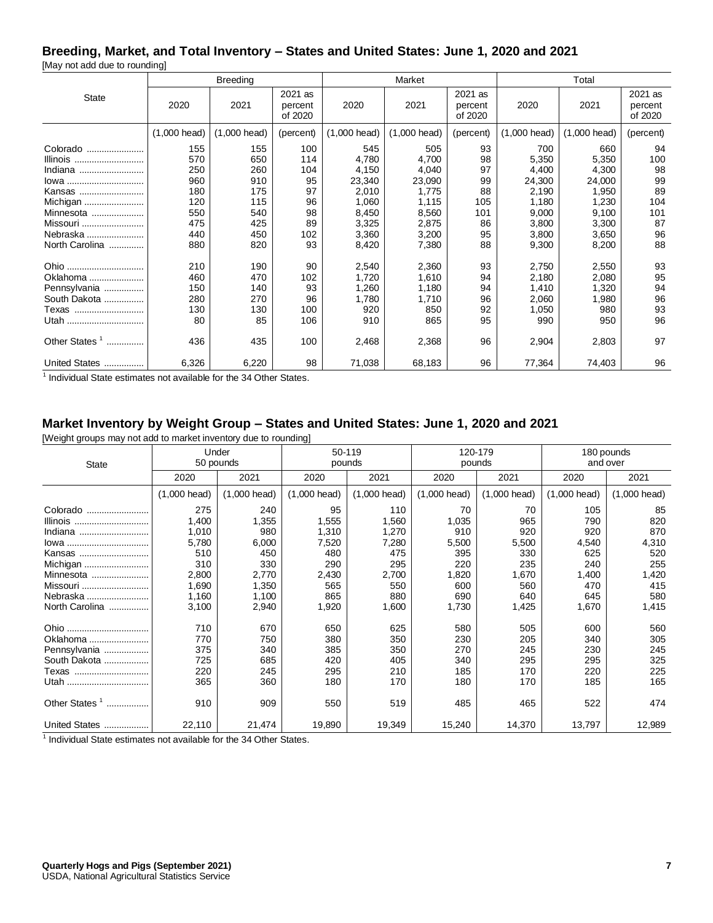#### **Breeding, Market, and Total Inventory – States and United States: June 1, 2020 and 2021**

[May not add due to rounding]

|                                                                                                                  |                                                             | <b>Breeding</b>                                             |                                                        |                                                                              | Market                                                                       |                                                      |                                                                              | Total                                                                        |                                                       |  |
|------------------------------------------------------------------------------------------------------------------|-------------------------------------------------------------|-------------------------------------------------------------|--------------------------------------------------------|------------------------------------------------------------------------------|------------------------------------------------------------------------------|------------------------------------------------------|------------------------------------------------------------------------------|------------------------------------------------------------------------------|-------------------------------------------------------|--|
| <b>State</b>                                                                                                     | 2020                                                        | 2021                                                        | 2021 as<br>percent<br>of 2020                          | 2020                                                                         | 2021                                                                         | 2021 as<br>percent<br>of 2020                        | 2020                                                                         | 2021                                                                         | 2021 as<br>percent<br>of 2020                         |  |
|                                                                                                                  | $(1,000 \text{ head})$                                      | (1,000 head)                                                | (percent)                                              | $(1,000 \text{ head})$                                                       | $(1,000 \text{ head})$                                                       | (percent)                                            | (1,000 head)                                                                 | (1,000 head)                                                                 | (percent)                                             |  |
| Colorado<br>Illinois<br>Indiana<br>lowa<br>Kansas<br>Michigan<br>Minnesota<br>Missouri<br>Nebraska               | 155<br>570<br>250<br>960<br>180<br>120<br>550<br>475<br>440 | 155<br>650<br>260<br>910<br>175<br>115<br>540<br>425<br>450 | 100<br>114<br>104<br>95<br>97<br>96<br>98<br>89<br>102 | 545<br>4,780<br>4,150<br>23,340<br>2,010<br>1,060<br>8,450<br>3,325<br>3,360 | 505<br>4,700<br>4,040<br>23,090<br>1,775<br>1,115<br>8,560<br>2,875<br>3,200 | 93<br>98<br>97<br>99<br>88<br>105<br>101<br>86<br>95 | 700<br>5,350<br>4,400<br>24,300<br>2,190<br>1,180<br>9,000<br>3,800<br>3,800 | 660<br>5,350<br>4,300<br>24,000<br>1,950<br>1,230<br>9,100<br>3,300<br>3,650 | 94<br>100<br>98<br>99<br>89<br>104<br>101<br>87<br>96 |  |
| North Carolina<br>Ohio<br>Oklahoma<br>Pennsylvania<br>South Dakota<br>Texas<br>Utah<br>Other States <sup>1</sup> | 880<br>210<br>460<br>150<br>280<br>130<br>80<br>436         | 820<br>190<br>470<br>140<br>270<br>130<br>85<br>435         | 93<br>90<br>102<br>93<br>96<br>100<br>106<br>100       | 8,420<br>2,540<br>1,720<br>1,260<br>1,780<br>920<br>910<br>2,468             | 7,380<br>2,360<br>1,610<br>1,180<br>1,710<br>850<br>865<br>2,368             | 88<br>93<br>94<br>94<br>96<br>92<br>95<br>96         | 9,300<br>2,750<br>2,180<br>1,410<br>2,060<br>1,050<br>990<br>2,904           | 8,200<br>2,550<br>2,080<br>1,320<br>1,980<br>980<br>950<br>2,803             | 88<br>93<br>95<br>94<br>96<br>93<br>96<br>97          |  |
| United States                                                                                                    | 6,326                                                       | 6,220                                                       | 98                                                     | 71,038                                                                       | 68,183                                                                       | 96                                                   | 77,364                                                                       | 74,403                                                                       | 96                                                    |  |

<sup>1</sup> Individual State estimates not available for the 34 Other States.

# **Market Inventory by Weight Group – States and United States: June 1, 2020 and 2021**

[Weight groups may not add to market inventory due to rounding]

| <b>State</b>                   |                        | Under<br>50 pounds     |                        | 50-119<br>pounds       |                        | 120-179<br>pounds      | 180 pounds<br>and over |                        |  |
|--------------------------------|------------------------|------------------------|------------------------|------------------------|------------------------|------------------------|------------------------|------------------------|--|
|                                | 2020                   | 2021                   | 2020                   | 2021                   | 2020                   | 2021                   | 2020                   | 2021                   |  |
|                                | $(1,000 \text{ head})$ | $(1,000 \text{ head})$ | $(1,000 \text{ head})$ | $(1,000 \text{ head})$ | $(1,000 \text{ head})$ | $(1,000 \text{ head})$ | $(1,000 \text{ head})$ | $(1,000 \text{ head})$ |  |
| Colorado                       | 275                    | 240                    | 95                     | 110                    | 70                     | 70                     | 105                    | 85                     |  |
| Illinois                       | 1,400                  | 1,355                  | 1,555                  | 1,560                  | 1,035                  | 965                    | 790                    | 820                    |  |
| Indiana                        | 1,010                  | 980                    | 1,310                  | 1,270                  | 910                    | 920                    | 920                    | 870                    |  |
| lowa                           | 5,780                  | 6,000                  | 7,520                  | 7,280                  | 5,500                  | 5,500                  | 4,540                  | 4,310                  |  |
| Kansas                         | 510                    | 450                    | 480                    | 475                    | 395                    | 330                    | 625                    | 520                    |  |
| Michigan                       | 310                    | 330                    | 290                    | 295                    | 220                    | 235                    | 240                    | 255                    |  |
| Minnesota                      | 2,800                  | 2,770                  | 2,430                  | 2,700                  | 1,820                  | 1,670                  | 1,400                  | 1,420                  |  |
| Missouri                       | 1,690                  | 1,350                  | 565                    | 550                    | 600                    | 560                    | 470                    | 415                    |  |
| Nebraska                       | 1,160                  | 1,100                  | 865                    | 880                    | 690                    | 640                    | 645                    | 580                    |  |
| North Carolina                 | 3,100                  | 2,940                  | 1,920                  | 1,600                  | 1,730                  | 1,425                  | 1,670                  | 1,415                  |  |
| Ohio                           | 710                    | 670                    | 650                    | 625                    | 580                    | 505                    | 600                    | 560                    |  |
| Oklahoma                       | 770                    | 750                    | 380                    | 350                    | 230                    | 205                    | 340                    | 305                    |  |
| Pennsylvania                   | 375                    | 340                    | 385                    | 350                    | 270                    | 245                    | 230                    | 245                    |  |
| South Dakota                   | 725                    | 685                    | 420                    | 405                    | 340                    | 295                    | 295                    | 325                    |  |
| Texas                          | 220                    | 245                    | 295                    | 210                    | 185                    | 170                    | 220                    | 225                    |  |
| Utah                           | 365                    | 360                    | 180                    | 170                    | 180                    | 170                    | 185                    | 165                    |  |
| Other States <sup>1</sup><br>. | 910                    | 909                    | 550                    | 519                    | 485                    | 465                    | 522                    | 474                    |  |
| United States                  | 22,110                 | 21,474                 | 19,890                 | 19,349                 | 15,240                 | 14,370                 | 13,797                 | 12,989                 |  |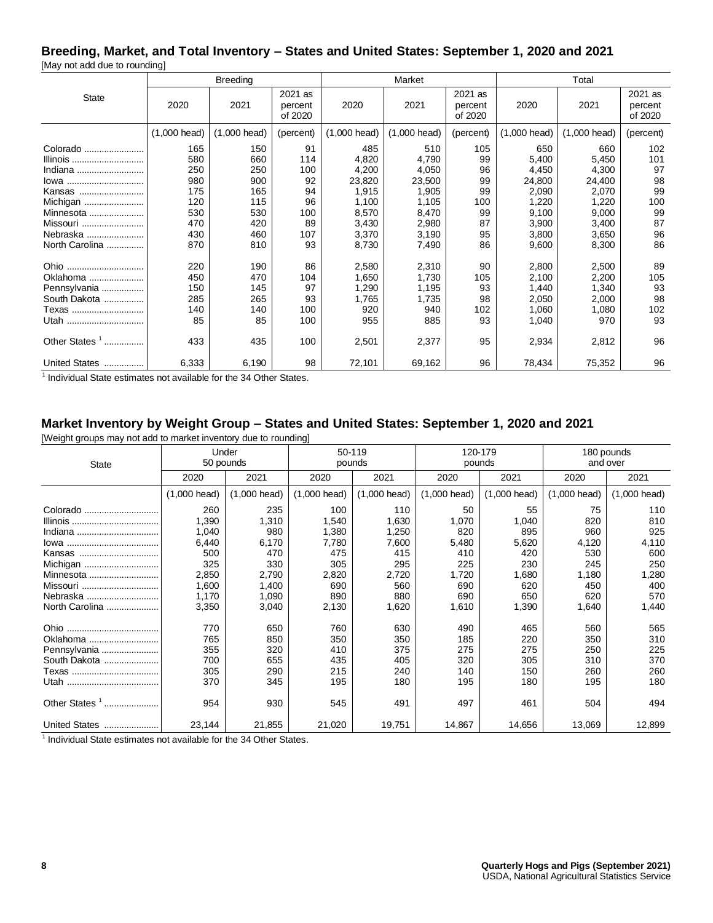# **Breeding, Market, and Total Inventory – States and United States: September 1, 2020 and 2021**

[May not add due to rounding]

|                           |                        | <b>Breeding</b>        |                               |                | Market                 |                               |              | Total                  |                               |  |  |
|---------------------------|------------------------|------------------------|-------------------------------|----------------|------------------------|-------------------------------|--------------|------------------------|-------------------------------|--|--|
| <b>State</b>              | 2020                   | 2021                   | 2021 as<br>percent<br>of 2020 | 2020           | 2021                   | 2021 as<br>percent<br>of 2020 | 2020         | 2021                   | 2021 as<br>percent<br>of 2020 |  |  |
|                           | $(1,000 \text{ head})$ | $(1,000 \text{ head})$ | (percent)                     | $(1,000$ head) | $(1,000 \text{ head})$ | (percent)                     | (1,000 head) | $(1,000 \text{ head})$ | (percent)                     |  |  |
| Colorado                  | 165                    | 150                    | 91                            | 485            | 510                    | 105                           | 650          | 660                    | 102                           |  |  |
| Illinois                  | 580                    | 660                    | 114                           | 4,820          | 4,790                  | 99                            | 5,400        | 5,450                  | 101                           |  |  |
| Indiana                   | 250                    | 250                    | 100                           | 4,200          | 4,050                  | 96                            | 4,450        | 4,300                  | 97                            |  |  |
| lowa                      | 980                    | 900                    | 92                            | 23,820         | 23,500                 | 99                            | 24,800       | 24,400                 | 98                            |  |  |
| Kansas                    | 175                    | 165                    | 94                            | 1,915          | 1,905                  | 99                            | 2,090        | 2,070                  | 99                            |  |  |
| Michigan                  | 120                    | 115                    | 96                            | 1,100          | 1,105                  | 100                           | 1,220        | 1,220                  | 100                           |  |  |
| Minnesota                 | 530                    | 530                    | 100                           | 8,570          | 8,470                  | 99                            | 9,100        | 9,000                  | 99                            |  |  |
| Missouri                  | 470                    | 420                    | 89                            | 3,430          | 2,980                  | 87                            | 3,900        | 3,400                  | 87                            |  |  |
| Nebraska                  | 430                    | 460                    | 107                           | 3,370          | 3,190                  | 95                            | 3,800        | 3,650                  | 96                            |  |  |
| North Carolina            | 870                    | 810                    | 93                            | 8,730          | 7,490                  | 86                            | 9,600        | 8,300                  | 86                            |  |  |
| Ohio                      | 220                    | 190                    | 86                            | 2,580          | 2,310                  | 90                            | 2,800        | 2,500                  | 89                            |  |  |
| Oklahoma                  | 450                    | 470                    | 104                           | 1,650          | 1,730                  | 105                           | 2,100        | 2,200                  | 105                           |  |  |
| Pennsylvania              | 150                    | 145                    | 97                            | 1,290          | 1,195                  | 93                            | 1,440        | 1,340                  | 93                            |  |  |
| South Dakota              | 285                    | 265                    | 93                            | 1,765          | 1,735                  | 98                            | 2,050        | 2,000                  | 98                            |  |  |
| Texas                     | 140                    | 140                    | 100                           | 920            | 940                    | 102                           | 1,060        | 1,080                  | 102                           |  |  |
| Utah                      | 85                     | 85                     | 100                           | 955            | 885                    | 93                            | 1,040        | 970                    | 93                            |  |  |
| Other States <sup>1</sup> | 433                    | 435                    | 100                           | 2,501          | 2,377                  | 95                            | 2,934        | 2,812                  | 96                            |  |  |
| United States             | 6,333                  | 6,190                  | 98                            | 72,101         | 69,162                 | 96                            | 78,434       | 75,352                 | 96                            |  |  |

<sup>1</sup> Individual State estimates not available for the 34 Other States.

# **Market Inventory by Weight Group – States and United States: September 1, 2020 and 2021**

[Weight groups may not add to market inventory due to rounding]

| <b>State</b>              | Under<br>50 pounds     |                        |                        | 50-119<br>pounds |                        | 120-179<br>pounds      | 180 pounds<br>and over |                        |  |
|---------------------------|------------------------|------------------------|------------------------|------------------|------------------------|------------------------|------------------------|------------------------|--|
|                           | 2020                   | 2021                   | 2020                   | 2021             | 2020                   | 2021                   | 2020                   | 2021                   |  |
|                           | $(1,000 \text{ head})$ | $(1,000 \text{ head})$ | $(1,000 \text{ head})$ | (1,000 head)     | $(1,000 \text{ head})$ | $(1,000 \text{ head})$ | $(1,000 \text{ head})$ | $(1,000 \text{ head})$ |  |
| Colorado                  | 260                    | 235                    | 100                    | 110              | 50                     | 55                     | 75                     | 110                    |  |
|                           | 1,390                  | 1,310                  | 1,540                  | 1,630            | 1,070                  | 1,040                  | 820                    | 810                    |  |
| Indiana                   | 1,040                  | 980                    | 1,380                  | 1,250            | 820                    | 895                    | 960                    | 925                    |  |
|                           | 6,440                  | 6,170                  | 7,780                  | 7,600            | 5,480                  | 5,620                  | 4,120                  | 4,110                  |  |
| Kansas                    | 500                    | 470                    | 475                    | 415              | 410                    | 420                    | 530                    | 600                    |  |
| Michigan                  | 325                    | 330                    | 305                    | 295              | 225                    | 230                    | 245                    | 250                    |  |
| Minnesota                 | 2,850                  | 2,790                  | 2,820                  | 2,720            | 1,720                  | 1,680                  | 1,180                  | 1,280                  |  |
| Missouri                  | 1,600                  | 1,400                  | 690                    | 560              | 690                    | 620                    | 450                    | 400                    |  |
| Nebraska                  | 1,170                  | 1,090                  | 890                    | 880              | 690                    | 650                    | 620                    | 570                    |  |
| North Carolina            | 3,350                  | 3,040                  | 2,130                  | 1,620            | 1,610                  | 1,390                  | 1,640                  | 1,440                  |  |
| Ohio.<br>                 | 770                    | 650                    | 760                    | 630              | 490                    | 465                    | 560                    | 565                    |  |
| Oklahoma                  | 765                    | 850                    | 350                    | 350              | 185                    | 220                    | 350                    | 310                    |  |
| Pennsylvania              | 355                    | 320                    | 410                    | 375              | 275                    | 275                    | 250                    | 225                    |  |
| South Dakota              | 700                    | 655                    | 435                    | 405              | 320                    | 305                    | 310                    | 370                    |  |
|                           | 305                    | 290                    | 215                    | 240              | 140                    | 150                    | 260                    | 260                    |  |
|                           | 370                    | 345                    | 195                    | 180              | 195                    | 180                    | 195                    | 180                    |  |
| Other States <sup>1</sup> | 954                    | 930                    | 545                    | 491              | 497                    | 461                    | 504                    | 494                    |  |
| United States             | 23,144                 | 21,855                 | 21,020                 | 19,751           | 14,867                 | 14,656                 | 13,069                 | 12,899                 |  |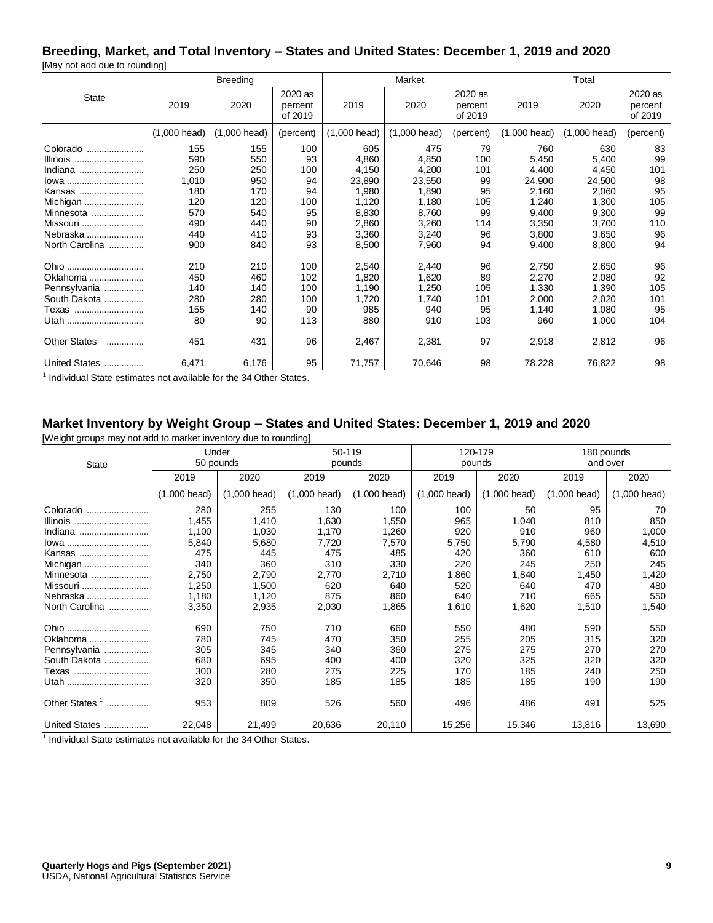# **Breeding, Market, and Total Inventory – States and United States: December 1, 2019 and 2020**

[May not add due to rounding]

|                                                                                                                  |                                                               | <b>Breeding</b>                                             |                                                       |                                                                              | Market                                                                       |                                                              |                                                                              | Total                                                                        |                                                             |  |
|------------------------------------------------------------------------------------------------------------------|---------------------------------------------------------------|-------------------------------------------------------------|-------------------------------------------------------|------------------------------------------------------------------------------|------------------------------------------------------------------------------|--------------------------------------------------------------|------------------------------------------------------------------------------|------------------------------------------------------------------------------|-------------------------------------------------------------|--|
| <b>State</b>                                                                                                     | 2019                                                          | 2020                                                        | 2020 as<br>percent<br>of 2019                         | 2019                                                                         | 2020                                                                         | 2020 as<br>percent<br>of 2019                                | 2019                                                                         | 2020                                                                         | 2020 as<br>percent<br>of 2019                               |  |
|                                                                                                                  | $(1,000 \text{ head})$                                        | (1,000 head)                                                | (percent)                                             | $(1,000 \text{ head})$                                                       | $(1,000 \text{ head})$                                                       | (percent)                                                    | (1,000 head)                                                                 | (1,000 head)                                                                 | (percent)                                                   |  |
| Colorado<br>Illinois<br>Indiana<br>lowa<br>Kansas<br>Michigan<br>Minnesota<br>Missouri<br>Nebraska               | 155<br>590<br>250<br>1,010<br>180<br>120<br>570<br>490<br>440 | 155<br>550<br>250<br>950<br>170<br>120<br>540<br>440<br>410 | 100<br>93<br>100<br>94<br>94<br>100<br>95<br>90<br>93 | 605<br>4,860<br>4,150<br>23,890<br>1,980<br>1,120<br>8,830<br>2,860<br>3,360 | 475<br>4,850<br>4,200<br>23,550<br>1,890<br>1,180<br>8,760<br>3,260<br>3,240 | 79<br>100<br>101<br>99<br>95<br>105<br>99<br>114<br>96<br>94 | 760<br>5,450<br>4,400<br>24,900<br>2,160<br>1,240<br>9,400<br>3,350<br>3,800 | 630<br>5,400<br>4,450<br>24,500<br>2,060<br>1,300<br>9,300<br>3,700<br>3,650 | 83<br>99<br>101<br>98<br>95<br>105<br>99<br>110<br>96<br>94 |  |
| North Carolina<br>Ohio<br>Oklahoma<br>Pennsylvania<br>South Dakota<br>Texas<br>Utah<br>Other States <sup>1</sup> | 900<br>210<br>450<br>140<br>280<br>155<br>80<br>451           | 840<br>210<br>460<br>140<br>280<br>140<br>90<br>431         | 93<br>100<br>102<br>100<br>100<br>90<br>113<br>96     | 8,500<br>2,540<br>1,820<br>1,190<br>1,720<br>985<br>880<br>2,467             | 7,960<br>2,440<br>1,620<br>1,250<br>1,740<br>940<br>910<br>2,381             | 96<br>89<br>105<br>101<br>95<br>103<br>97                    | 9,400<br>2,750<br>2,270<br>1,330<br>2,000<br>1,140<br>960<br>2,918           | 8,800<br>2,650<br>2,080<br>1,390<br>2,020<br>1,080<br>1,000<br>2,812         | 96<br>92<br>105<br>101<br>95<br>104<br>96                   |  |
| United States                                                                                                    | 6,471                                                         | 6,176                                                       | 95                                                    | 71,757                                                                       | 70,646                                                                       | 98                                                           | 78,228                                                                       | 76,822                                                                       | 98                                                          |  |

<sup>1</sup> Individual State estimates not available for the 34 Other States.

# **Market Inventory by Weight Group – States and United States: December 1, 2019 and 2020**

[Weight groups may not add to market inventory due to rounding]

| <b>State</b>                   |                        | Under<br>50 pounds     |                        | 50-119<br>pounds       |                        | 120-179<br>pounds      | 180 pounds<br>and over |                        |  |
|--------------------------------|------------------------|------------------------|------------------------|------------------------|------------------------|------------------------|------------------------|------------------------|--|
|                                | 2019                   | 2020                   | 2019                   | 2020                   | 2019                   | 2020                   | 2019                   | 2020                   |  |
|                                | $(1,000 \text{ head})$ | $(1,000 \text{ head})$ | $(1,000 \text{ head})$ | $(1,000 \text{ head})$ | $(1,000 \text{ head})$ | $(1,000 \text{ head})$ | $(1,000 \text{ head})$ | $(1,000 \text{ head})$ |  |
| Colorado                       | 280                    | 255                    | 130                    | 100                    | 100                    | 50                     | 95                     | 70                     |  |
| Illinois                       | 1,455                  | 1,410                  | 1,630                  | 1,550                  | 965                    | 1,040                  | 810                    | 850                    |  |
| Indiana                        | 1,100                  | 1,030                  | 1,170                  | 1,260                  | 920                    | 910                    | 960                    | 1,000                  |  |
| lowa                           | 5,840                  | 5,680                  | 7,720                  | 7,570                  | 5,750                  | 5,790                  | 4,580                  | 4,510                  |  |
| Kansas                         | 475                    | 445                    | 475                    | 485                    | 420                    | 360                    | 610                    | 600                    |  |
| Michigan                       | 340                    | 360                    | 310                    | 330                    | 220                    | 245                    | 250                    | 245                    |  |
| Minnesota                      | 2,750                  | 2,790                  | 2,770                  | 2,710                  | 1,860                  | 1,840                  | 1,450                  | 1,420                  |  |
| Missouri                       | 1,250                  | 1,500                  | 620                    | 640                    | 520                    | 640                    | 470                    | 480                    |  |
| Nebraska                       | 1,180                  | 1,120                  | 875                    | 860                    | 640                    | 710                    | 665                    | 550                    |  |
| North Carolina                 | 3,350                  | 2,935                  | 2,030                  | 1,865                  | 1,610                  | 1,620                  | 1,510                  | 1,540                  |  |
| Ohio                           | 690                    | 750                    | 710                    | 660                    | 550                    | 480                    | 590                    | 550                    |  |
| Oklahoma                       | 780                    | 745                    | 470                    | 350                    | 255                    | 205                    | 315                    | 320                    |  |
| Pennsylvania                   | 305                    | 345                    | 340                    | 360                    | 275                    | 275                    | 270                    | 270                    |  |
| South Dakota                   | 680                    | 695                    | 400                    | 400                    | 320                    | 325                    | 320                    | 320                    |  |
| Texas                          | 300                    | 280                    | 275                    | 225                    | 170                    | 185                    | 240                    | 250                    |  |
| Utah                           | 320                    | 350                    | 185                    | 185                    | 185                    | 185                    | 190                    | 190                    |  |
| Other States <sup>1</sup><br>. | 953                    | 809                    | 526                    | 560                    | 496                    | 486                    | 491                    | 525                    |  |
| United States                  | 22,048                 | 21,499                 | 20,636                 | 20,110                 | 15,256                 | 15,346                 | 13,816                 | 13,690                 |  |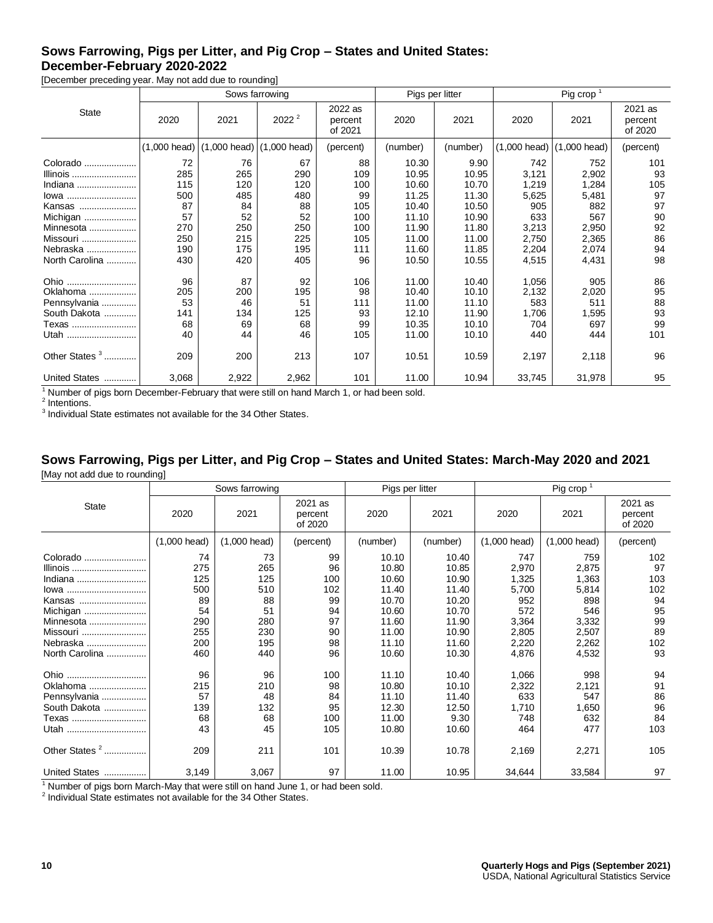# **Sows Farrowing, Pigs per Litter, and Pig Crop – States and United States: December-February 2020-2022**

[December preceding year. May not add due to rounding]

|                                                                                                                      |                                                                 |                                                                 | Sows farrowing                                                  |                                                                 |                                                                                        | Pigs per litter                                                                       | Pig crop $1$                                                                     |                                                                                  |                                                            |
|----------------------------------------------------------------------------------------------------------------------|-----------------------------------------------------------------|-----------------------------------------------------------------|-----------------------------------------------------------------|-----------------------------------------------------------------|----------------------------------------------------------------------------------------|---------------------------------------------------------------------------------------|----------------------------------------------------------------------------------|----------------------------------------------------------------------------------|------------------------------------------------------------|
| <b>State</b>                                                                                                         | 2020                                                            | 2021                                                            | 2022 <sup>2</sup>                                               | 2022 as<br>percent<br>of 2021                                   | 2020                                                                                   | 2021                                                                                  | 2020                                                                             | 2021                                                                             | 2021 as<br>percent<br>of 2020                              |
|                                                                                                                      | $(1,000 \text{ head})$                                          | $(1,000 \text{ head})$                                          | $(1,000 \text{ head})$                                          | (percent)                                                       | (number)                                                                               | (number)                                                                              | $(1,000 \text{ head})$                                                           | $(1,000 \text{ head})$                                                           | (percent)                                                  |
| Colorado<br>Illinois<br>Indiana<br>lowa<br>Kansas<br>Michigan<br>Minnesota<br>Missouri<br>Nebraska<br>North Carolina | 72<br>285<br>115<br>500<br>87<br>57<br>270<br>250<br>190<br>430 | 76<br>265<br>120<br>485<br>84<br>52<br>250<br>215<br>175<br>420 | 67<br>290<br>120<br>480<br>88<br>52<br>250<br>225<br>195<br>405 | 88<br>109<br>100<br>99<br>105<br>100<br>100<br>105<br>111<br>96 | 10.30<br>10.95<br>10.60<br>11.25<br>10.40<br>11.10<br>11.90<br>11.00<br>11.60<br>10.50 | 9.90<br>10.95<br>10.70<br>11.30<br>10.50<br>10.90<br>11.80<br>11.00<br>11.85<br>10.55 | 742<br>3,121<br>1,219<br>5,625<br>905<br>633<br>3,213<br>2,750<br>2,204<br>4,515 | 752<br>2,902<br>1,284<br>5,481<br>882<br>567<br>2,950<br>2,365<br>2,074<br>4,431 | 101<br>93<br>105<br>97<br>97<br>90<br>92<br>86<br>94<br>98 |
| Ohio<br>Oklahoma<br>Pennsylvania<br>South Dakota<br>Texas<br>Utah<br>Other States <sup>3</sup>                       | 96<br>205<br>53<br>141<br>68<br>40<br>209                       | 87<br>200<br>46<br>134<br>69<br>44<br>200                       | 92<br>195<br>51<br>125<br>68<br>46<br>213                       | 106<br>98<br>111<br>93<br>99<br>105<br>107                      | 11.00<br>10.40<br>11.00<br>12.10<br>10.35<br>11.00<br>10.51                            | 10.40<br>10.10<br>11.10<br>11.90<br>10.10<br>10.10<br>10.59                           | 1,056<br>2,132<br>583<br>1,706<br>704<br>440<br>2,197                            | 905<br>2,020<br>511<br>1,595<br>697<br>444<br>2,118                              | 86<br>95<br>88<br>93<br>99<br>101<br>96                    |
| United States                                                                                                        | 3,068                                                           | 2,922                                                           | 2,962                                                           | 101                                                             | 11.00                                                                                  | 10.94                                                                                 | 33,745                                                                           | 31,978                                                                           | 95                                                         |

<sup>1</sup> Number of pigs born December-February that were still on hand March 1, or had been sold.

<sup>2</sup> Intentions.

 $3$  Individual State estimates not available for the 34 Other States.

#### **Sows Farrowing, Pigs per Litter, and Pig Crop – States and United States: March-May 2020 and 2021** [May not add due to rounding]

|                           |                        | Sows farrowing         |                               |          | Pigs per litter | Pig crop <sup>1</sup>  |                |                               |  |
|---------------------------|------------------------|------------------------|-------------------------------|----------|-----------------|------------------------|----------------|-------------------------------|--|
| <b>State</b>              | 2020                   | 2021                   | 2021 as<br>percent<br>of 2020 | 2020     | 2021            | 2020                   | 2021           | 2021 as<br>percent<br>of 2020 |  |
|                           | $(1,000 \text{ head})$ | $(1,000 \text{ head})$ | (percent)                     | (number) | (number)        | $(1,000 \text{ head})$ | $(1,000$ head) | (percent)                     |  |
| Colorado                  | 74                     | 73                     | 99                            | 10.10    | 10.40           | 747                    | 759            | 102                           |  |
| Illinois                  | 275                    | 265                    | 96                            | 10.80    | 10.85           | 2,970                  | 2,875          | 97                            |  |
| Indiana                   | 125                    | 125                    | 100                           | 10.60    | 10.90           | 1,325                  | 1,363          | 103                           |  |
| lowa                      | 500                    | 510                    | 102                           | 11.40    | 11.40           | 5,700                  | 5,814          | 102                           |  |
| Kansas                    | 89                     | 88                     | 99                            | 10.70    | 10.20           | 952                    | 898            | 94                            |  |
| Michigan                  | 54                     | 51                     | 94                            | 10.60    | 10.70           | 572                    | 546            | 95                            |  |
| Minnesota                 | 290                    | 280                    | 97                            | 11.60    | 11.90           | 3,364                  | 3,332          | 99                            |  |
| Missouri                  | 255                    | 230                    | 90                            | 11.00    | 10.90           | 2,805                  | 2,507          | 89                            |  |
| Nebraska                  | 200                    | 195                    | 98                            | 11.10    | 11.60           | 2,220                  | 2,262          | 102                           |  |
| North Carolina            | 460                    | 440                    | 96                            | 10.60    | 10.30           | 4,876                  | 4,532          | 93                            |  |
| Ohio                      | 96                     | 96                     | 100                           | 11.10    | 10.40           | 1,066                  | 998            | 94                            |  |
| Oklahoma                  | 215                    | 210                    | 98                            | 10.80    | 10.10           | 2,322                  | 2,121          | 91                            |  |
| Pennsylvania              | 57                     | 48                     | 84                            | 11.10    | 11.40           | 633                    | 547            | 86                            |  |
| South Dakota              | 139                    | 132                    | 95                            | 12.30    | 12.50           | 1,710                  | 1,650          | 96                            |  |
| Texas                     | 68                     | 68                     | 100                           | 11.00    | 9.30            | 748                    | 632            | 84                            |  |
| Utah                      | 43                     | 45                     | 105                           | 10.80    | 10.60           | 464                    | 477            | 103                           |  |
| Other States <sup>2</sup> | 209                    | 211                    | 101                           | 10.39    | 10.78           | 2,169                  | 2,271          | 105                           |  |
| United States             | 3,149                  | 3,067                  | 97                            | 11.00    | 10.95           | 34,644                 | 33,584         | 97                            |  |

<sup>1</sup> Number of pigs born March-May that were still on hand June 1, or had been sold.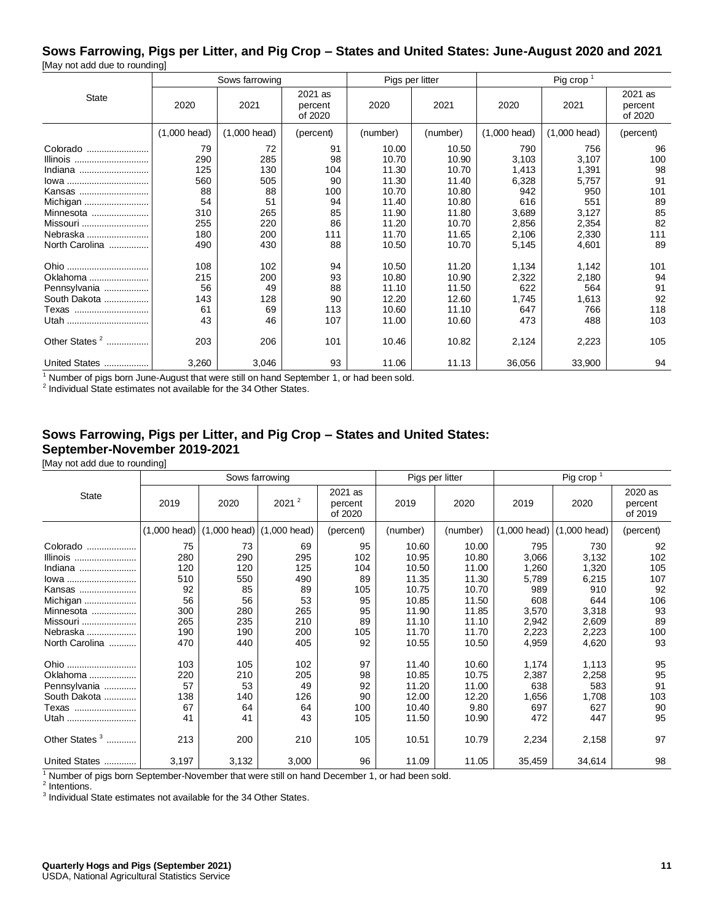#### **Sows Farrowing, Pigs per Litter, and Pig Crop – States and United States: June-August 2020 and 2021** [May not add due to rounding]

|                           | ັ              |                        |                               |                 |          |                        |                        |                               |  |
|---------------------------|----------------|------------------------|-------------------------------|-----------------|----------|------------------------|------------------------|-------------------------------|--|
|                           |                | Sows farrowing         |                               | Pigs per litter |          | Pig crop $1$           |                        |                               |  |
| <b>State</b>              | 2020           | 2021                   | 2021 as<br>percent<br>of 2020 | 2020            | 2021     | 2020                   | 2021                   | 2021 as<br>percent<br>of 2020 |  |
|                           | $(1,000$ head) | $(1,000 \text{ head})$ | (percent)                     | (number)        | (number) | $(1,000 \text{ head})$ | $(1,000 \text{ head})$ | (percent)                     |  |
| Colorado                  | 79             | 72                     | 91                            | 10.00           | 10.50    | 790                    | 756                    | 96                            |  |
| Illinois                  | 290            | 285                    | 98                            | 10.70           | 10.90    | 3,103                  | 3,107                  | 100                           |  |
| Indiana                   | 125            | 130                    | 104                           | 11.30           | 10.70    | 1,413                  | 1,391                  | 98                            |  |
| lowa                      | 560            | 505                    | 90                            | 11.30           | 11.40    | 6,328                  | 5,757                  | 91                            |  |
| Kansas                    | 88             | 88                     | 100                           | 10.70           | 10.80    | 942                    | 950                    | 101                           |  |
| Michigan                  | 54             | 51                     | 94                            | 11.40           | 10.80    | 616                    | 551                    | 89                            |  |
| Minnesota                 | 310            | 265                    | 85                            | 11.90           | 11.80    | 3,689                  | 3,127                  | 85                            |  |
| Missouri                  | 255            | 220                    | 86                            | 11.20           | 10.70    | 2,856                  | 2,354                  | 82                            |  |
| Nebraska                  | 180            | 200                    | 111                           | 11.70           | 11.65    | 2,106                  | 2,330                  | 111                           |  |
| North Carolina            | 490            | 430                    | 88                            | 10.50           | 10.70    | 5,145                  | 4,601                  | 89                            |  |
| Ohio                      | 108            | 102                    | 94                            | 10.50           | 11.20    | 1,134                  | 1,142                  | 101                           |  |
| Oklahoma                  | 215            | 200                    | 93                            | 10.80           | 10.90    | 2,322                  | 2,180                  | 94                            |  |
| Pennsylvania              | 56             | 49                     | 88                            | 11.10           | 11.50    | 622                    | 564                    | 91                            |  |
| South Dakota              | 143            | 128                    | 90                            | 12.20           | 12.60    | 1,745                  | 1,613                  | 92                            |  |
| Texas                     | 61             | 69                     | 113                           | 10.60           | 11.10    | 647                    | 766                    | 118                           |  |
| Utah                      | 43             | 46                     | 107                           | 11.00           | 10.60    | 473                    | 488                    | 103                           |  |
| Other States <sup>2</sup> | 203            | 206                    | 101                           | 10.46           | 10.82    | 2,124                  | 2,223                  | 105                           |  |
| United States             | 3,260          | 3,046                  | 93                            | 11.06           | 11.13    | 36,056                 | 33,900                 | 94                            |  |

<sup>1</sup> Number of pigs born June-August that were still on hand September 1, or had been sold.

<sup>2</sup> Individual State estimates not available for the 34 Other States.

# **Sows Farrowing, Pigs per Litter, and Pig Crop – States and United States: September-November 2019-2021**

[May not add due to rounding]

|                                                                                                                      |                                                                 |                                                                 | Sows farrowing                                                  |                                                              |                                                                                        | Pigs per litter                                                                        | Pig crop $1$                                                                     |                                                                                  |                                                               |
|----------------------------------------------------------------------------------------------------------------------|-----------------------------------------------------------------|-----------------------------------------------------------------|-----------------------------------------------------------------|--------------------------------------------------------------|----------------------------------------------------------------------------------------|----------------------------------------------------------------------------------------|----------------------------------------------------------------------------------|----------------------------------------------------------------------------------|---------------------------------------------------------------|
| <b>State</b>                                                                                                         | 2019                                                            | 2020                                                            | 2021 <sup>2</sup>                                               | 2021 as<br>percent<br>of 2020                                | 2019                                                                                   | 2020                                                                                   | 2019                                                                             | 2020                                                                             | 2020 as<br>percent<br>of 2019                                 |
|                                                                                                                      | $(1,000 \text{ head})$                                          | $(1,000 \text{ head})$ (1,000 head)                             |                                                                 | (percent)                                                    | (number)                                                                               | (number)                                                                               |                                                                                  | $(1,000 \text{ head})$ (1,000 head)                                              | (percent)                                                     |
| Colorado<br>Illinois<br>Indiana<br>lowa<br>Kansas<br>Michigan<br>Minnesota<br>Missouri<br>Nebraska<br>North Carolina | 75<br>280<br>120<br>510<br>92<br>56<br>300<br>265<br>190<br>470 | 73<br>290<br>120<br>550<br>85<br>56<br>280<br>235<br>190<br>440 | 69<br>295<br>125<br>490<br>89<br>53<br>265<br>210<br>200<br>405 | 95<br>102<br>104<br>89<br>105<br>95<br>95<br>89<br>105<br>92 | 10.60<br>10.95<br>10.50<br>11.35<br>10.75<br>10.85<br>11.90<br>11.10<br>11.70<br>10.55 | 10.00<br>10.80<br>11.00<br>11.30<br>10.70<br>11.50<br>11.85<br>11.10<br>11.70<br>10.50 | 795<br>3,066<br>1,260<br>5,789<br>989<br>608<br>3,570<br>2,942<br>2,223<br>4,959 | 730<br>3,132<br>1,320<br>6,215<br>910<br>644<br>3,318<br>2,609<br>2,223<br>4,620 | 92<br>102<br>105<br>107<br>92<br>106<br>93<br>89<br>100<br>93 |
| Ohio<br>Oklahoma<br>Pennsylvania<br>South Dakota<br>Texas<br>Utah<br>Other States <sup>3</sup>                       | 103<br>220<br>57<br>138<br>67<br>41<br>213                      | 105<br>210<br>53<br>140<br>64<br>41<br>200                      | 102<br>205<br>49<br>126<br>64<br>43<br>210                      | 97<br>98<br>92<br>90<br>100<br>105<br>105                    | 11.40<br>10.85<br>11.20<br>12.00<br>10.40<br>11.50<br>10.51                            | 10.60<br>10.75<br>11.00<br>12.20<br>9.80<br>10.90<br>10.79                             | 1,174<br>2,387<br>638<br>1,656<br>697<br>472<br>2,234                            | 1,113<br>2,258<br>583<br>1,708<br>627<br>447<br>2,158                            | 95<br>95<br>91<br>103<br>90<br>95<br>97                       |
| United States                                                                                                        | 3,197                                                           | 3,132                                                           | 3,000                                                           | 96                                                           | 11.09                                                                                  | 11.05                                                                                  | 35,459                                                                           | 34,614                                                                           | 98                                                            |

 $1$  Number of pigs born September-November that were still on hand December 1, or had been sold.

<sup>2</sup> Intentions.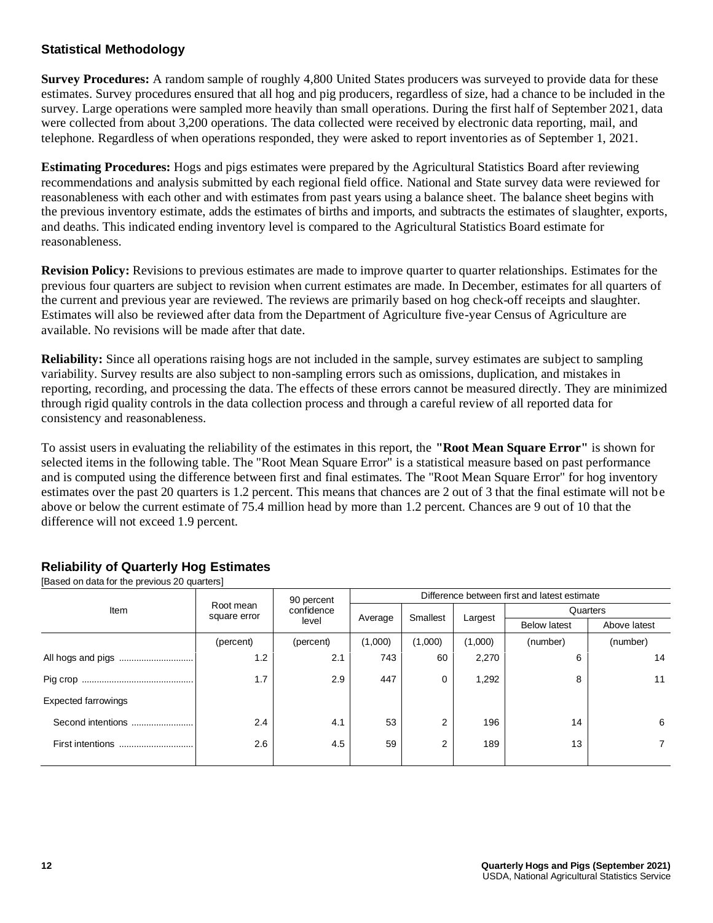#### **Statistical Methodology**

**Survey Procedures:** A random sample of roughly 4,800 United States producers was surveyed to provide data for these estimates. Survey procedures ensured that all hog and pig producers, regardless of size, had a chance to be included in the survey. Large operations were sampled more heavily than small operations. During the first half of September 2021, data were collected from about 3,200 operations. The data collected were received by electronic data reporting, mail, and telephone. Regardless of when operations responded, they were asked to report inventories as of September 1, 2021.

**Estimating Procedures:** Hogs and pigs estimates were prepared by the Agricultural Statistics Board after reviewing recommendations and analysis submitted by each regional field office. National and State survey data were reviewed for reasonableness with each other and with estimates from past years using a balance sheet. The balance sheet begins with the previous inventory estimate, adds the estimates of births and imports, and subtracts the estimates of slaughter, exports, and deaths. This indicated ending inventory level is compared to the Agricultural Statistics Board estimate for reasonableness.

**Revision Policy:** Revisions to previous estimates are made to improve quarter to quarter relationships. Estimates for the previous four quarters are subject to revision when current estimates are made. In December, estimates for all quarters of the current and previous year are reviewed. The reviews are primarily based on hog check-off receipts and slaughter. Estimates will also be reviewed after data from the Department of Agriculture five-year Census of Agriculture are available. No revisions will be made after that date.

**Reliability:** Since all operations raising hogs are not included in the sample, survey estimates are subject to sampling variability. Survey results are also subject to non-sampling errors such as omissions, duplication, and mistakes in reporting, recording, and processing the data. The effects of these errors cannot be measured directly. They are minimized through rigid quality controls in the data collection process and through a careful review of all reported data for consistency and reasonableness.

To assist users in evaluating the reliability of the estimates in this report, the **"Root Mean Square Error"** is shown for selected items in the following table. The "Root Mean Square Error" is a statistical measure based on past performance and is computed using the difference between first and final estimates. The "Root Mean Square Error" for hog inventory estimates over the past 20 quarters is 1.2 percent. This means that chances are 2 out of 3 that the final estimate will not be above or below the current estimate of 75.4 million head by more than 1.2 percent. Chances are 9 out of 10 that the difference will not exceed 1.9 percent.

|                            |                           | 90 percent | Difference between first and latest estimate |                |         |                     |              |  |  |
|----------------------------|---------------------------|------------|----------------------------------------------|----------------|---------|---------------------|--------------|--|--|
| Item                       | Root mean<br>square error | confidence | Average                                      | Smallest       | Largest | Quarters            |              |  |  |
|                            |                           | level      |                                              |                |         | <b>Below latest</b> | Above latest |  |  |
|                            | (percent)                 | (percent)  | (1,000)                                      | (1,000)        | (1,000) | (number)            | (number)     |  |  |
| All hogs and pigs<br>      | 1.2                       | 2.1        | 743                                          | 60             | 2,270   | 6                   | 14           |  |  |
|                            | 1.7                       | 2.9        | 447                                          | 0              | 1,292   | 8                   | 11           |  |  |
| <b>Expected farrowings</b> |                           |            |                                              |                |         |                     |              |  |  |
| Second intentions          | 2.4                       | 4.1        | 53                                           | $\overline{2}$ | 196     | 14                  | 6            |  |  |
| First intentions<br>       | 2.6                       | 4.5        | 59                                           | $\overline{2}$ | 189     | 13                  |              |  |  |
|                            |                           |            |                                              |                |         |                     |              |  |  |

# **Reliability of Quarterly Hog Estimates**

[Based on data for the previous 20 quarters]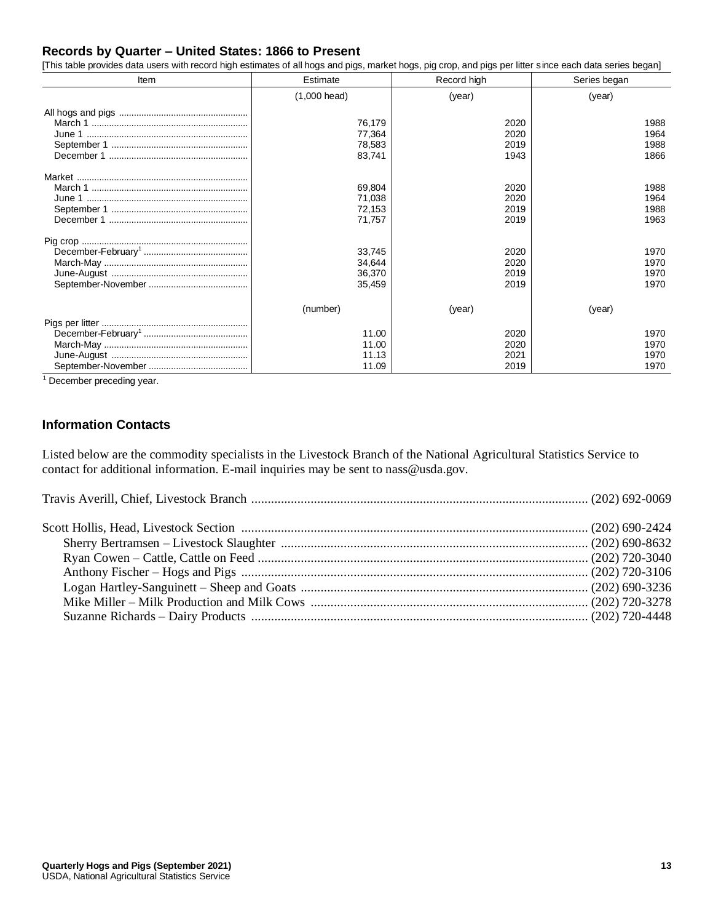#### **Records by Quarter – United States: 1866 to Present**

[This table provides data users with record high estimates of all hogs and pigs, market hogs, pig crop, and pigs per litter since each data series began]

| Item | Estimate                             | Record high                  | Series began                 |  |
|------|--------------------------------------|------------------------------|------------------------------|--|
|      | $(1,000$ head)                       | (year)                       | (year)                       |  |
|      | 76,179<br>77,364<br>78,583<br>83,741 | 2020<br>2020<br>2019<br>1943 | 1988<br>1964<br>1988<br>1866 |  |
|      | 69,804<br>71,038<br>72,153<br>71,757 | 2020<br>2020<br>2019<br>2019 | 1988<br>1964<br>1988<br>1963 |  |
|      | 33,745<br>34,644<br>36,370<br>35,459 | 2020<br>2020<br>2019<br>2019 | 1970<br>1970<br>1970<br>1970 |  |
|      | (number)                             | (year)                       | (year)                       |  |
|      | 11.00<br>11.00<br>11.13<br>11.09     | 2020<br>2020<br>2021<br>2019 | 1970<br>1970<br>1970<br>1970 |  |

<sup>1</sup> December preceding year.

#### **Information Contacts**

Listed below are the commodity specialists in the Livestock Branch of the National Agricultural Statistics Service to contact for additional information. E-mail inquiries may be sent to nass@usda.gov.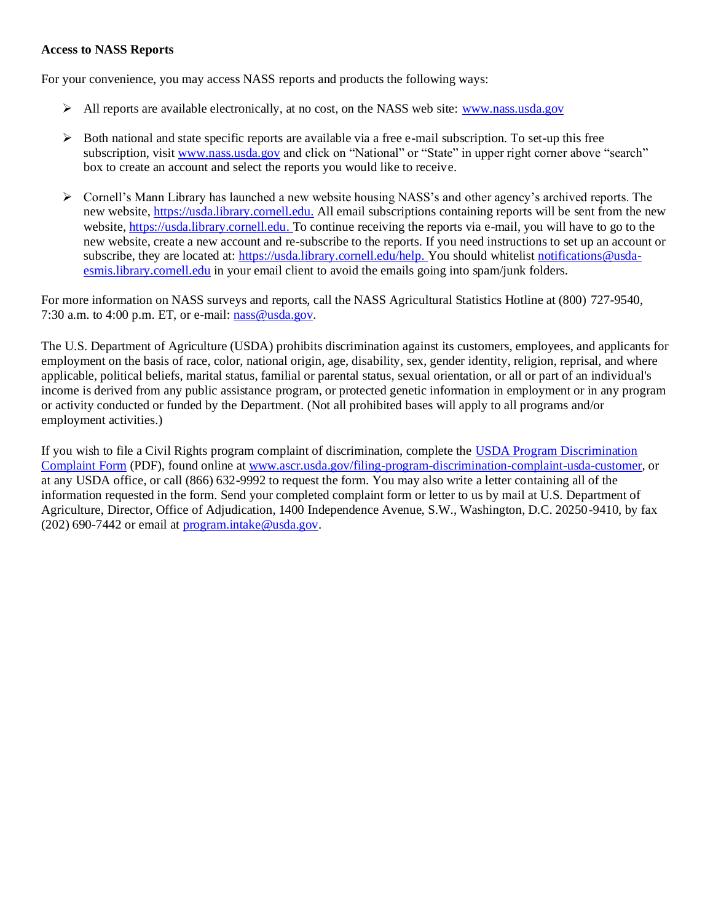#### **Access to NASS Reports**

For your convenience, you may access NASS reports and products the following ways:

- ➢ All reports are available electronically, at no cost, on the NASS web site: [www.nass.usda.gov](https://www.nass.usda.gov/)
- ➢ Both national and state specific reports are available via a free e-mail subscription. To set-up this free subscription, visi[t www.nass.usda.gov](https://www.nass.usda.gov/) and click on "National" or "State" in upper right corner above "search" box to create an account and select the reports you would like to receive.
- ➢ Cornell's Mann Library has launched a new website housing NASS's and other agency's archived reports. The new website[, https://usda.library.cornell.edu.](https://usda.library.cornell.edu/) All email subscriptions containing reports will be sent from the new website[, https://usda.library.cornell.edu.](https://usda.library.cornell.edu/) To continue receiving the reports via e-mail, you will have to go to the new website, create a new account and re-subscribe to the reports. If you need instructions to set up an account or subscribe, they are located at[: https://usda.library.cornell.edu/help.](https://usda.library.cornell.edu/help) You should whitelis[t notifications@usda](mailto:notifications@usda-esmis.library.cornell.edu)[esmis.library.cornell.edu](mailto:notifications@usda-esmis.library.cornell.edu) in your email client to avoid the emails going into spam/junk folders.

For more information on NASS surveys and reports, call the NASS Agricultural Statistics Hotline at (800) 727-9540, 7:30 a.m. to 4:00 p.m. ET, or e-mail:  $nass@usda.gov$ .

The U.S. Department of Agriculture (USDA) prohibits discrimination against its customers, employees, and applicants for employment on the basis of race, color, national origin, age, disability, sex, gender identity, religion, reprisal, and where applicable, political beliefs, marital status, familial or parental status, sexual orientation, or all or part of an individual's income is derived from any public assistance program, or protected genetic information in employment or in any program or activity conducted or funded by the Department. (Not all prohibited bases will apply to all programs and/or employment activities.)

If you wish to file a Civil Rights program complaint of discrimination, complete th[e USDA Program Discrimination](http://www.ocio.usda.gov/sites/default/files/docs/2012/Complain_combined_6_8_12.pdf)  [Complaint Form](http://www.ocio.usda.gov/sites/default/files/docs/2012/Complain_combined_6_8_12.pdf) (PDF), found online a[t www.ascr.usda.gov/filing-program-discrimination-complaint-usda-customer,](http://www.ascr.usda.gov/filing-program-discrimination-complaint-usda-customer) or at any USDA office, or call (866) 632-9992 to request the form. You may also write a letter containing all of the information requested in the form. Send your completed complaint form or letter to us by mail at U.S. Department of Agriculture, Director, Office of Adjudication, 1400 Independence Avenue, S.W., Washington, D.C. 20250-9410, by fax (202) 690-7442 or email a[t program.intake@usda.gov.](mailto:program.intake@usda.gov)